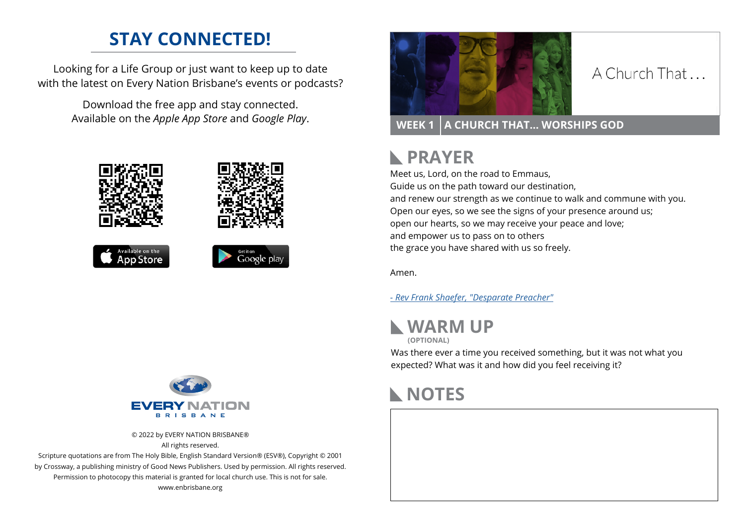### **STAY CONNECTED!**

Looking for a Life Group or just want to keep up to date with the latest on Every Nation Brisbane's events or podcasts?

> Download the free app and stay connected. Available on the *Apple App Store* and *Google Play*.











### A Church That

**WEEK 1 A CHURCH THAT… WORSHIPS GOD**

#### **PRAYER**  $\mathbb{R}$

Meet us, Lord, on the road to Emmaus, Guide us on the path toward our destination, and renew our strength as we continue to walk and commune with you. Open our eyes, so we see the signs of your presence around us; open our hearts, so we may receive your peace and love; and empower us to pass on to others the grace you have shared with us so freely.

Amen.

*[- R](https://desperatepreacher.com/sermonbuilder/i5n43e2x1/s.htm)ev Frank Shaefer, "Desparate Preacher"*



**(OPTIONAL)**

Was there ever a time you received something, but it was not what you expected? What was it and how did you feel receiving it?





© 2022 by EVERY NATION BRISBANE® All rights reserved.

Scripture quotations are from The Holy Bible, English Standard Version® (ESV®), Copyright © 2001 by Crossway, a publishing ministry of Good News Publishers. Used by permission. All rights reserved. Permission to photocopy this material is granted for local church use. This is not for sale. www.enbrisbane.org